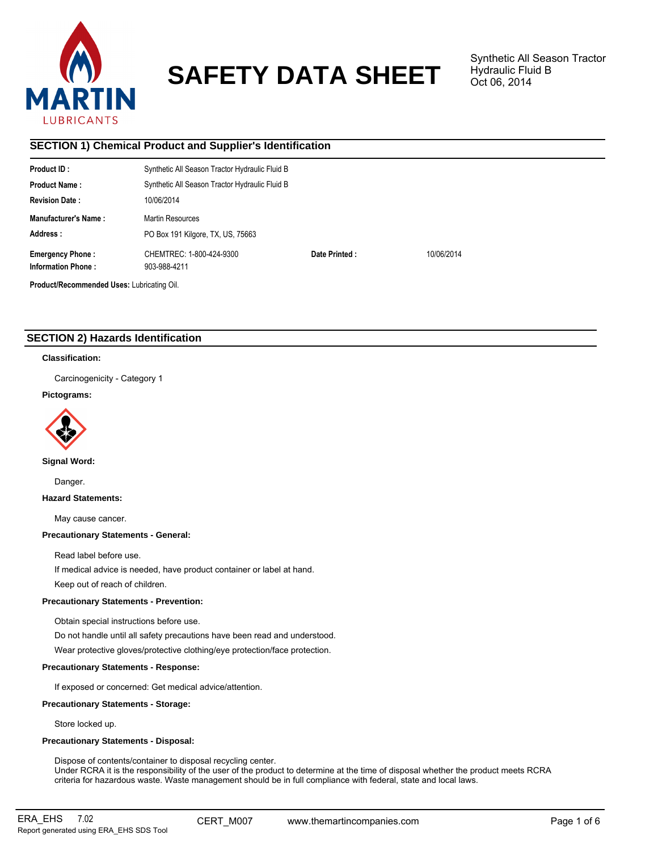

# **SAFETY DATA SHEET**

Synthetic All Season Tractor Hydraulic Fluid B Oct 06, 2014

# **SECTION 1) Chemical Product and Supplier's Identification**

| Product ID:                                          | Synthetic All Season Tractor Hydraulic Fluid B |               |            |
|------------------------------------------------------|------------------------------------------------|---------------|------------|
| <b>Product Name:</b>                                 | Synthetic All Season Tractor Hydraulic Fluid B |               |            |
| <b>Revision Date:</b>                                | 10/06/2014                                     |               |            |
| <b>Manufacturer's Name:</b>                          | Martin Resources                               |               |            |
| Address:                                             | PO Box 191 Kilgore, TX, US, 75663              |               |            |
| <b>Emergency Phone:</b><br><b>Information Phone:</b> | CHEMTREC: 1-800-424-9300<br>903-988-4211       | Date Printed: | 10/06/2014 |
| Product/Recommended Uses: Lubricating Oil.           |                                                |               |            |

# **SECTION 2) Hazards Identification**

### **Classification:**

Carcinogenicity - Category 1

# **Pictograms:**



**Signal Word:**

Danger.

**Hazard Statements:**

May cause cancer.

### **Precautionary Statements - General:**

Read label before use.

If medical advice is needed, have product container or label at hand.

Keep out of reach of children.

# **Precautionary Statements - Prevention:**

Obtain special instructions before use.

Do not handle until all safety precautions have been read and understood.

Wear protective gloves/protective clothing/eye protection/face protection.

# **Precautionary Statements - Response:**

If exposed or concerned: Get medical advice/attention.

# **Precautionary Statements - Storage:**

Store locked up.

# **Precautionary Statements - Disposal:**

Dispose of contents/container to disposal recycling center. Under RCRA it is the responsibility of the user of the product to determine at the time of disposal whether the product meets RCRA criteria for hazardous waste. Waste management should be in full compliance with federal, state and local laws.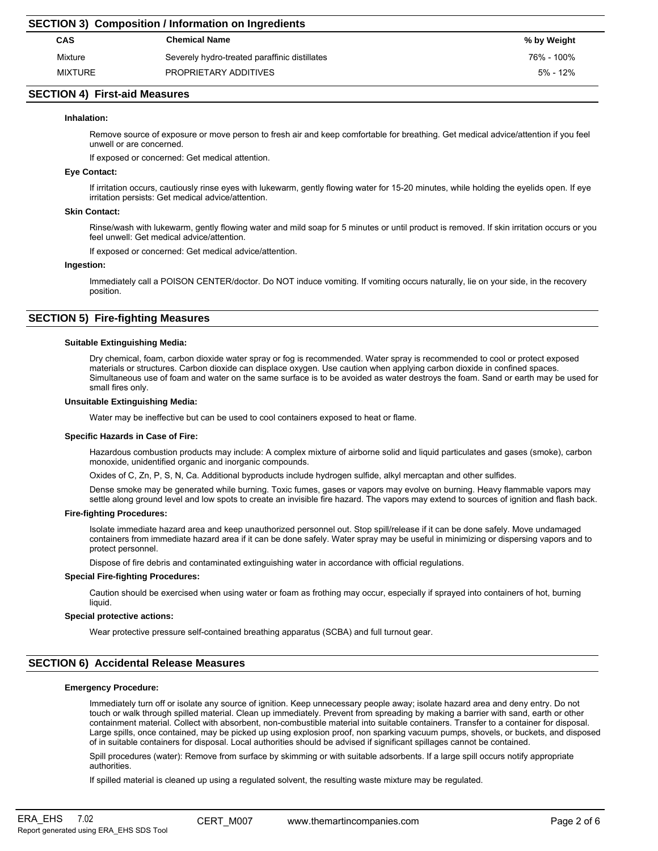|                | <b>SECTION 3) Composition / Information on Ingredients</b> |             |  |  |  |
|----------------|------------------------------------------------------------|-------------|--|--|--|
| <b>CAS</b>     | <b>Chemical Name</b>                                       | % by Weight |  |  |  |
| Mixture        | Severely hydro-treated paraffinic distillates              | 76% - 100%  |  |  |  |
| <b>MIXTURE</b> | PROPRIETARY ADDITIVES                                      | 5% - 12%    |  |  |  |
|                |                                                            |             |  |  |  |

# **SECTION 4) First-aid Measures**

### **Inhalation:**

Remove source of exposure or move person to fresh air and keep comfortable for breathing. Get medical advice/attention if you feel unwell or are concerned.

If exposed or concerned: Get medical attention.

### **Eye Contact:**

If irritation occurs, cautiously rinse eyes with lukewarm, gently flowing water for 15-20 minutes, while holding the eyelids open. If eye irritation persists: Get medical advice/attention.

### **Skin Contact:**

Rinse/wash with lukewarm, gently flowing water and mild soap for 5 minutes or until product is removed. If skin irritation occurs or you feel unwell: Get medical advice/attention.

If exposed or concerned: Get medical advice/attention.

### **Ingestion:**

Immediately call a POISON CENTER/doctor. Do NOT induce vomiting. If vomiting occurs naturally, lie on your side, in the recovery position.

# **SECTION 5) Fire-fighting Measures**

### **Suitable Extinguishing Media:**

Dry chemical, foam, carbon dioxide water spray or fog is recommended. Water spray is recommended to cool or protect exposed materials or structures. Carbon dioxide can displace oxygen. Use caution when applying carbon dioxide in confined spaces. Simultaneous use of foam and water on the same surface is to be avoided as water destroys the foam. Sand or earth may be used for small fires only.

### **Unsuitable Extinguishing Media:**

Water may be ineffective but can be used to cool containers exposed to heat or flame.

### **Specific Hazards in Case of Fire:**

Hazardous combustion products may include: A complex mixture of airborne solid and liquid particulates and gases (smoke), carbon monoxide, unidentified organic and inorganic compounds.

Oxides of C, Zn, P, S, N, Ca. Additional byproducts include hydrogen sulfide, alkyl mercaptan and other sulfides.

Dense smoke may be generated while burning. Toxic fumes, gases or vapors may evolve on burning. Heavy flammable vapors may

settle along ground level and low spots to create an invisible fire hazard. The vapors may extend to sources of ignition and flash back.

# **Fire-fighting Procedures:**

Isolate immediate hazard area and keep unauthorized personnel out. Stop spill/release if it can be done safely. Move undamaged containers from immediate hazard area if it can be done safely. Water spray may be useful in minimizing or dispersing vapors and to protect personnel.

Dispose of fire debris and contaminated extinguishing water in accordance with official regulations.

### **Special Fire-fighting Procedures:**

Caution should be exercised when using water or foam as frothing may occur, especially if sprayed into containers of hot, burning liquid.

### **Special protective actions:**

Wear protective pressure self-contained breathing apparatus (SCBA) and full turnout gear.

# **SECTION 6) Accidental Release Measures**

### **Emergency Procedure:**

Immediately turn off or isolate any source of ignition. Keep unnecessary people away; isolate hazard area and deny entry. Do not touch or walk through spilled material. Clean up immediately. Prevent from spreading by making a barrier with sand, earth or other containment material. Collect with absorbent, non-combustible material into suitable containers. Transfer to a container for disposal. Large spills, once contained, may be picked up using explosion proof, non sparking vacuum pumps, shovels, or buckets, and disposed of in suitable containers for disposal. Local authorities should be advised if significant spillages cannot be contained.

Spill procedures (water): Remove from surface by skimming or with suitable adsorbents. If a large spill occurs notify appropriate authorities.

If spilled material is cleaned up using a regulated solvent, the resulting waste mixture may be regulated.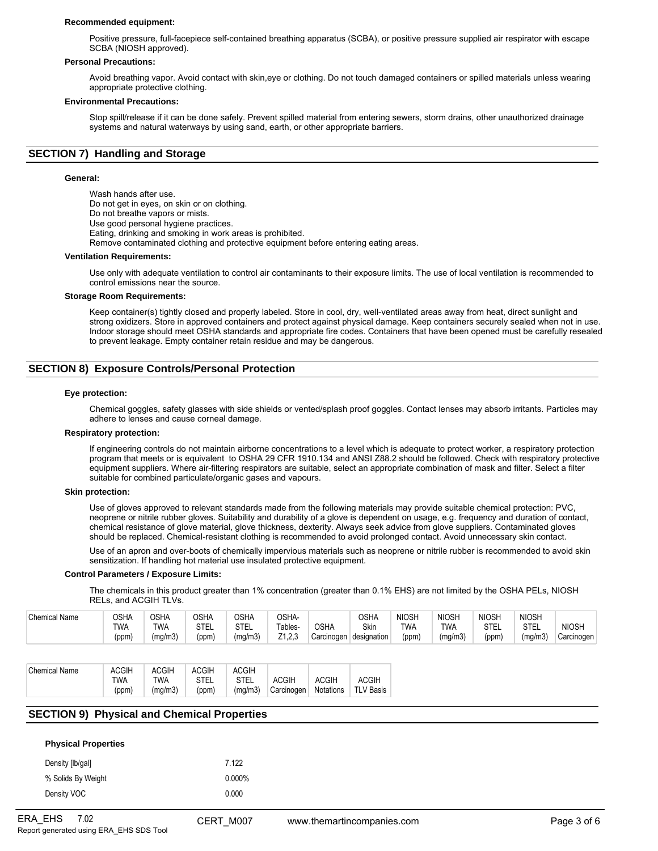#### **Recommended equipment:**

Positive pressure, full-facepiece self-contained breathing apparatus (SCBA), or positive pressure supplied air respirator with escape SCBA (NIOSH approved).

#### **Personal Precautions:**

Avoid breathing vapor. Avoid contact with skin,eye or clothing. Do not touch damaged containers or spilled materials unless wearing appropriate protective clothing.

### **Environmental Precautions:**

Stop spill/release if it can be done safely. Prevent spilled material from entering sewers, storm drains, other unauthorized drainage systems and natural waterways by using sand, earth, or other appropriate barriers.

# **SECTION 7) Handling and Storage**

#### **General:**

Wash hands after use. Do not get in eyes, on skin or on clothing. Do not breathe vapors or mists. Use good personal hygiene practices. Eating, drinking and smoking in work areas is prohibited. Remove contaminated clothing and protective equipment before entering eating areas. **Ventilation Requirements:**

Use only with adequate ventilation to control air contaminants to their exposure limits. The use of local ventilation is recommended to control emissions near the source.

#### **Storage Room Requirements:**

Keep container(s) tightly closed and properly labeled. Store in cool, dry, well-ventilated areas away from heat, direct sunlight and strong oxidizers. Store in approved containers and protect against physical damage. Keep containers securely sealed when not in use. Indoor storage should meet OSHA standards and appropriate fire codes. Containers that have been opened must be carefully resealed to prevent leakage. Empty container retain residue and may be dangerous.

# **SECTION 8) Exposure Controls/Personal Protection**

#### **Eye protection:**

Chemical goggles, safety glasses with side shields or vented/splash proof goggles. Contact lenses may absorb irritants. Particles may adhere to lenses and cause corneal damage.

#### **Respiratory protection:**

If engineering controls do not maintain airborne concentrations to a level which is adequate to protect worker, a respiratory protection program that meets or is equivalent to OSHA 29 CFR 1910.134 and ANSI Z88.2 should be followed. Check with respiratory protective equipment suppliers. Where air-filtering respirators are suitable, select an appropriate combination of mask and filter. Select a filter suitable for combined particulate/organic gases and vapours.

### **Skin protection:**

Use of gloves approved to relevant standards made from the following materials may provide suitable chemical protection: PVC, neoprene or nitrile rubber gloves. Suitability and durability of a glove is dependent on usage, e.g. frequency and duration of contact, chemical resistance of glove material, glove thickness, dexterity. Always seek advice from glove suppliers. Contaminated gloves should be replaced. Chemical-resistant clothing is recommended to avoid prolonged contact. Avoid unnecessary skin contact.

Use of an apron and over-boots of chemically impervious materials such as neoprene or nitrile rubber is recommended to avoid skin sensitization. If handling hot material use insulated protective equipment.

### **Control Parameters / Exposure Limits:**

The chemicals in this product greater than 1% concentration (greater than 0.1% EHS) are not limited by the OSHA PELs, NIOSH RELs, and ACGIH TLVs.

| Chemical<br>Name | OSHA       | <b>OSHA</b> | <b>OSHA</b>        | OSHA        | OSHA-              |             | OSHA        | <b>NIOSH</b> | <b>NIOSH</b> | NIOSF               | <b>NIOSH</b> |              |
|------------------|------------|-------------|--------------------|-------------|--------------------|-------------|-------------|--------------|--------------|---------------------|--------------|--------------|
|                  | <b>TWA</b> | <b>TWA</b>  | <b>CTL</b><br>SIEL | <b>STEL</b> | Tables-            | <b>OSHA</b> | Skin        | TWA          | <b>TWA</b>   | <b>CTFI</b><br>∟∟ ن | <b>STEL</b>  | <b>NIOSH</b> |
|                  | (ppm)      | (mg/m3)     | (ppm)              | (mg/m3)     | 7400<br>1.Z.J<br>_ | Carcinogen  | designation | (ppm)        | (mg/m3)      | (ppm)               | (ma/m3)      | Carcinogen   |

| Chemical Name | <b>ACGIH</b> | <b>ACGIH</b> | <b>ACGIH</b> | <b>ACGIH</b> |              |           |                  |
|---------------|--------------|--------------|--------------|--------------|--------------|-----------|------------------|
|               | TWA          | TWA          | <b>STEL</b>  | <b>STEL</b>  | <b>ACGIH</b> | ACGIH     | ACGIH            |
|               | (ppm)        | (mq/m3)      | (ppm)        | (mq/m3)      | Carcinogen   | Notations | <b>TLV Basis</b> |

# **SECTION 9) Physical and Chemical Properties**

| <b>Physical Properties</b> |           |
|----------------------------|-----------|
| Density [lb/gal]           | 7 1 2 2   |
| % Solids By Weight         | $0.000\%$ |
| Density VOC                | 0.000     |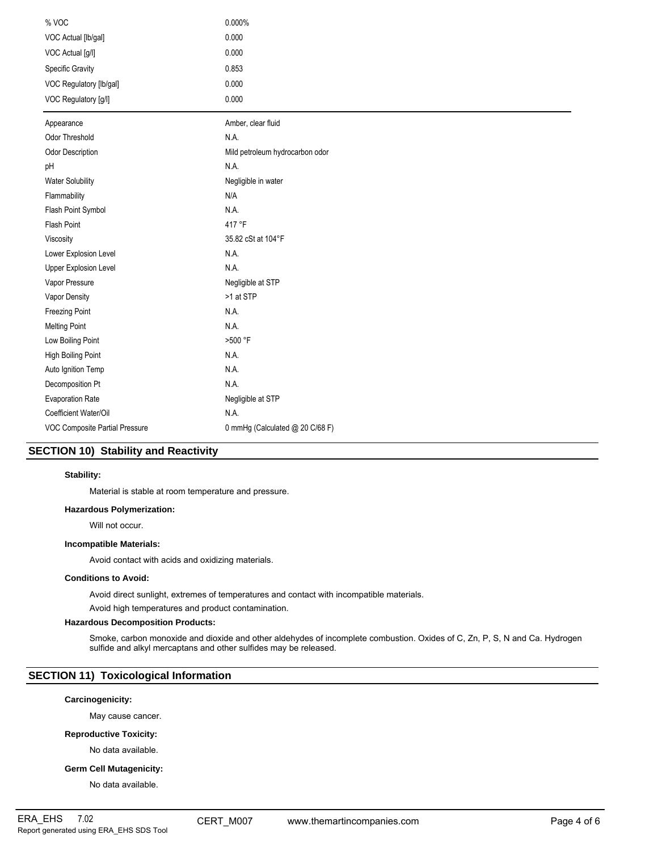| % VOC                          | 0.000%                          |
|--------------------------------|---------------------------------|
| VOC Actual [lb/gal]            | 0.000                           |
| VOC Actual [g/l]               | 0.000                           |
| <b>Specific Gravity</b>        | 0.853                           |
| VOC Regulatory [lb/gal]        | 0.000                           |
| VOC Regulatory [g/l]           | 0.000                           |
| Appearance                     | Amber, clear fluid              |
| Odor Threshold                 | N.A.                            |
| <b>Odor Description</b>        | Mild petroleum hydrocarbon odor |
| pH                             | N.A.                            |
| <b>Water Solubility</b>        | Negligible in water             |
| Flammability                   | N/A                             |
| Flash Point Symbol             | N.A.                            |
| Flash Point                    | 417 °F                          |
| Viscosity                      | 35.82 cSt at 104°F              |
| Lower Explosion Level          | N.A.                            |
| <b>Upper Explosion Level</b>   | N.A.                            |
| Vapor Pressure                 | Negligible at STP               |
| Vapor Density                  | >1 at STP                       |
| Freezing Point                 | N.A.                            |
| <b>Melting Point</b>           | N.A.                            |
| Low Boiling Point              | >500 °F                         |
| High Boiling Point             | N.A.                            |
| Auto Ignition Temp             | N.A.                            |
| Decomposition Pt               | N.A.                            |
| <b>Evaporation Rate</b>        | Negligible at STP               |
| Coefficient Water/Oil          | N.A.                            |
| VOC Composite Partial Pressure | 0 mmHg (Calculated @ 20 C/68 F) |

# **SECTION 10) Stability and Reactivity**

# **Stability:**

Material is stable at room temperature and pressure.

# **Hazardous Polymerization:**

Will not occur.

# **Incompatible Materials:**

Avoid contact with acids and oxidizing materials.

### **Conditions to Avoid:**

Avoid direct sunlight, extremes of temperatures and contact with incompatible materials.

Avoid high temperatures and product contamination.

# **Hazardous Decomposition Products:**

Smoke, carbon monoxide and dioxide and other aldehydes of incomplete combustion. Oxides of C, Zn, P, S, N and Ca. Hydrogen sulfide and alkyl mercaptans and other sulfides may be released.

# **SECTION 11) Toxicological Information**

# **Carcinogenicity:**

May cause cancer.

# **Reproductive Toxicity:**

No data available.

# **Germ Cell Mutagenicity:**

No data available.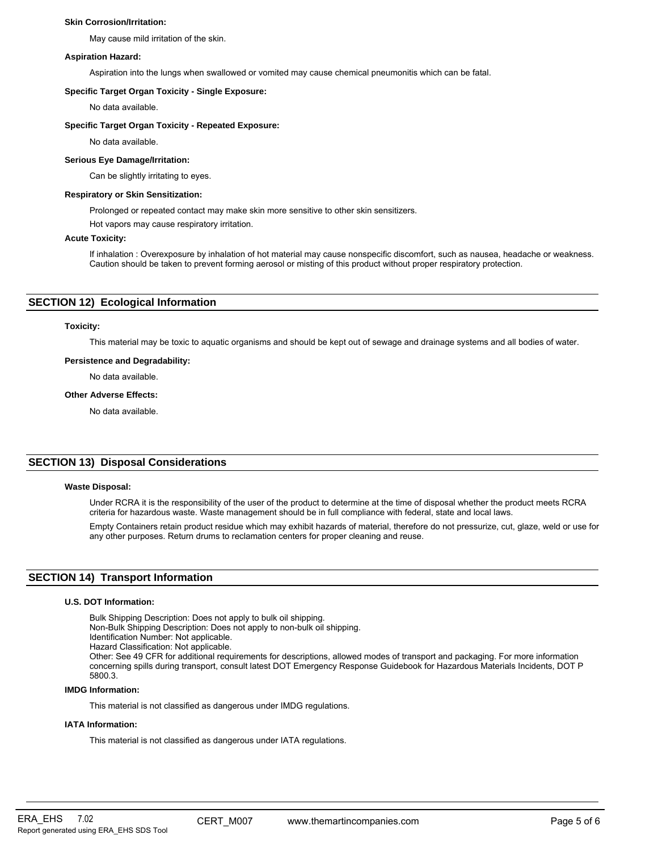### **Skin Corrosion/Irritation:**

May cause mild irritation of the skin.

### **Aspiration Hazard:**

Aspiration into the lungs when swallowed or vomited may cause chemical pneumonitis which can be fatal.

### **Specific Target Organ Toxicity - Single Exposure:**

No data available.

### **Specific Target Organ Toxicity - Repeated Exposure:**

No data available.

# **Serious Eye Damage/Irritation:**

Can be slightly irritating to eyes.

### **Respiratory or Skin Sensitization:**

Prolonged or repeated contact may make skin more sensitive to other skin sensitizers.

Hot vapors may cause respiratory irritation.

### **Acute Toxicity:**

If inhalation : Overexposure by inhalation of hot material may cause nonspecific discomfort, such as nausea, headache or weakness. Caution should be taken to prevent forming aerosol or misting of this product without proper respiratory protection.

# **SECTION 12) Ecological Information**

### **Toxicity:**

This material may be toxic to aquatic organisms and should be kept out of sewage and drainage systems and all bodies of water.

### **Persistence and Degradability:**

No data available.

### **Other Adverse Effects:**

No data available.

# **SECTION 13) Disposal Considerations**

### **Waste Disposal:**

Under RCRA it is the responsibility of the user of the product to determine at the time of disposal whether the product meets RCRA criteria for hazardous waste. Waste management should be in full compliance with federal, state and local laws.

Empty Containers retain product residue which may exhibit hazards of material, therefore do not pressurize, cut, glaze, weld or use for any other purposes. Return drums to reclamation centers for proper cleaning and reuse.

# **SECTION 14) Transport Information**

### **U.S. DOT Information:**

Bulk Shipping Description: Does not apply to bulk oil shipping.

Non-Bulk Shipping Description: Does not apply to non-bulk oil shipping.

- Identification Number: Not applicable.
- Hazard Classification: Not applicable.

Other: See 49 CFR for additional requirements for descriptions, allowed modes of transport and packaging. For more information concerning spills during transport, consult latest DOT Emergency Response Guidebook for Hazardous Materials Incidents, DOT P 5800.3.

### **IMDG Information:**

This material is not classified as dangerous under IMDG regulations.

# **IATA Information:**

This material is not classified as dangerous under IATA regulations.